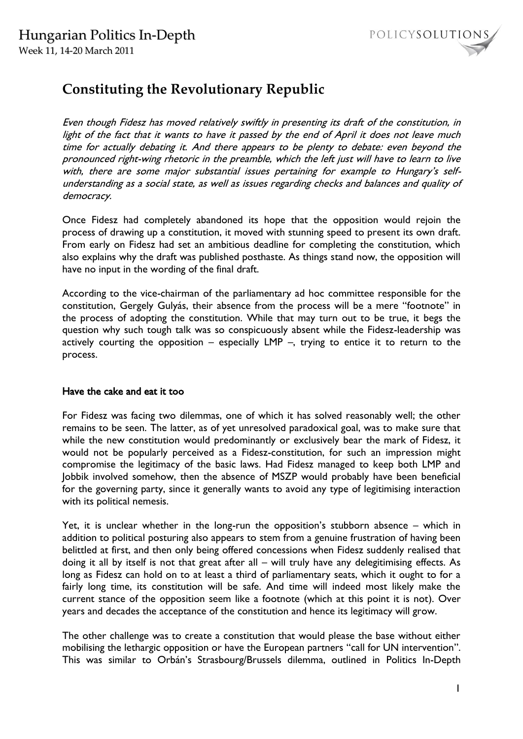

# **Constituting the Revolutionary Republic**

Even though Fidesz has moved relatively swiftly in presenting its draft of the constitution, in light of the fact that it wants to have it passed by the end of April it does not leave much time for actually debating it. And there appears to be plenty to debate: even beyond the pronounced right-wing rhetoric in the preamble, which the left just will have to learn to live with, there are some major substantial issues pertaining for example to Hungary's selfunderstanding as a social state, as well as issues regarding checks and balances and quality of democracy.

Once Fidesz had completely abandoned its hope that the opposition would rejoin the process of drawing up a constitution, it moved with stunning speed to present its own draft. From early on Fidesz had set an ambitious deadline for completing the constitution, which also explains why the draft was published posthaste. As things stand now, the opposition will have no input in the wording of the final draft.

According to the vice-chairman of the parliamentary ad hoc committee responsible for the constitution, Gergely Gulyás, their absence from the process will be a mere "footnote" in the process of adopting the constitution. While that may turn out to be true, it begs the question why such tough talk was so conspicuously absent while the Fidesz-leadership was actively courting the opposition – especially  $LMP$  –, trying to entice it to return to the process.

#### Have the cake and eat it too

For Fidesz was facing two dilemmas, one of which it has solved reasonably well; the other remains to be seen. The latter, as of yet unresolved paradoxical goal, was to make sure that while the new constitution would predominantly or exclusively bear the mark of Fidesz, it would not be popularly perceived as a Fidesz-constitution, for such an impression might compromise the legitimacy of the basic laws. Had Fidesz managed to keep both LMP and Jobbik involved somehow, then the absence of MSZP would probably have been beneficial for the governing party, since it generally wants to avoid any type of legitimising interaction with its political nemesis.

Yet, it is unclear whether in the long-run the opposition's stubborn absence – which in addition to political posturing also appears to stem from a genuine frustration of having been belittled at first, and then only being offered concessions when Fidesz suddenly realised that doing it all by itself is not that great after all – will truly have any delegitimising effects. As long as Fidesz can hold on to at least a third of parliamentary seats, which it ought to for a fairly long time, its constitution will be safe. And time will indeed most likely make the current stance of the opposition seem like a footnote (which at this point it is not). Over years and decades the acceptance of the constitution and hence its legitimacy will grow.

The other challenge was to create a constitution that would please the base without either mobilising the lethargic opposition or have the European partners "call for UN intervention". This was similar to Orbán's Strasbourg/Brussels dilemma, outlined in Politics In-Depth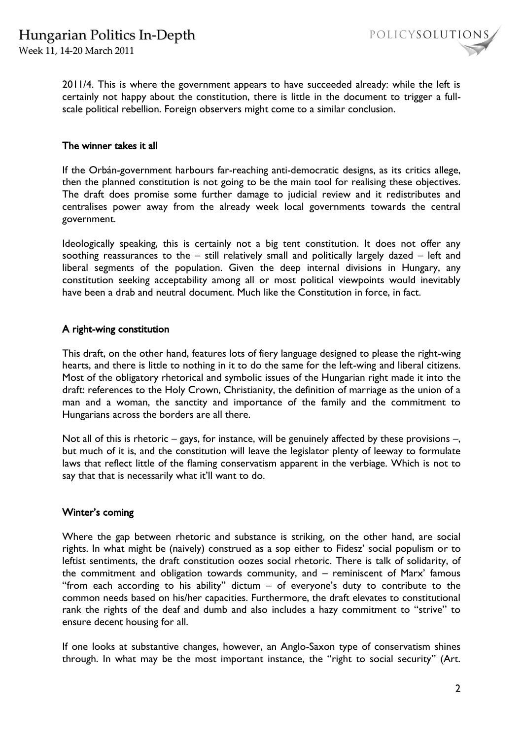Week 11, 14-20 March 2011

POLICYSOLUTIONS

2011/4. This is where the government appears to have succeeded already: while the left is certainly not happy about the constitution, there is little in the document to trigger a fullscale political rebellion. Foreign observers might come to a similar conclusion.

#### The winner takes it all

If the Orbán-government harbours far-reaching anti-democratic designs, as its critics allege, then the planned constitution is not going to be the main tool for realising these objectives. The draft does promise some further damage to judicial review and it redistributes and centralises power away from the already week local governments towards the central government.

Ideologically speaking, this is certainly not a big tent constitution. It does not offer any soothing reassurances to the – still relatively small and politically largely dazed – left and liberal segments of the population. Given the deep internal divisions in Hungary, any constitution seeking acceptability among all or most political viewpoints would inevitably have been a drab and neutral document. Much like the Constitution in force, in fact.

# A right-wing constitution

This draft, on the other hand, features lots of fiery language designed to please the right-wing hearts, and there is little to nothing in it to do the same for the left-wing and liberal citizens. Most of the obligatory rhetorical and symbolic issues of the Hungarian right made it into the draft: references to the Holy Crown, Christianity, the definition of marriage as the union of a man and a woman, the sanctity and importance of the family and the commitment to Hungarians across the borders are all there.

Not all of this is rhetoric – gays, for instance, will be genuinely affected by these provisions –, but much of it is, and the constitution will leave the legislator plenty of leeway to formulate laws that reflect little of the flaming conservatism apparent in the verbiage. Which is not to say that that is necessarily what it'll want to do.

# Winter's coming

Where the gap between rhetoric and substance is striking, on the other hand, are social rights. In what might be (naively) construed as a sop either to Fidesz' social populism or to leftist sentiments, the draft constitution oozes social rhetoric. There is talk of solidarity, of the commitment and obligation towards community, and – reminiscent of Marx' famous "from each according to his ability" dictum – of everyone's duty to contribute to the common needs based on his/her capacities. Furthermore, the draft elevates to constitutional rank the rights of the deaf and dumb and also includes a hazy commitment to "strive" to ensure decent housing for all.

If one looks at substantive changes, however, an Anglo-Saxon type of conservatism shines through. In what may be the most important instance, the "right to social security" (Art.